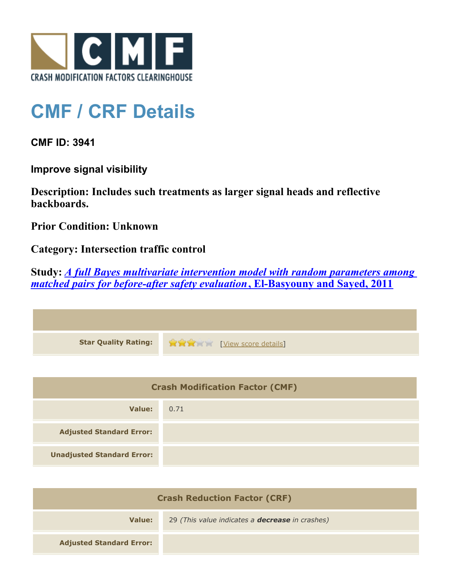

## **CMF / CRF Details**

**CMF ID: 3941**

**Improve signal visibility**

**Description: Includes such treatments as larger signal heads and reflective backboards.**

**Prior Condition: Unknown**

**Category: Intersection traffic control**

**Study:** *[A full Bayes multivariate intervention model with random parameters among](http://www.cmfclearinghouse.org/study_detail.cfm?stid=247) [matched pairs for before-after safety evaluation](http://www.cmfclearinghouse.org/study_detail.cfm?stid=247)***[, El-Basyouny and Sayed, 2011](http://www.cmfclearinghouse.org/study_detail.cfm?stid=247)**

| <b>Star Quality Rating:</b> | View score details] |
|-----------------------------|---------------------|

| <b>Crash Modification Factor (CMF)</b> |      |
|----------------------------------------|------|
| Value:                                 | 0.71 |
| <b>Adjusted Standard Error:</b>        |      |
| <b>Unadjusted Standard Error:</b>      |      |

| <b>Crash Reduction Factor (CRF)</b> |                                                        |
|-------------------------------------|--------------------------------------------------------|
| Value:                              | 29 (This value indicates a <b>decrease</b> in crashes) |
| <b>Adjusted Standard Error:</b>     |                                                        |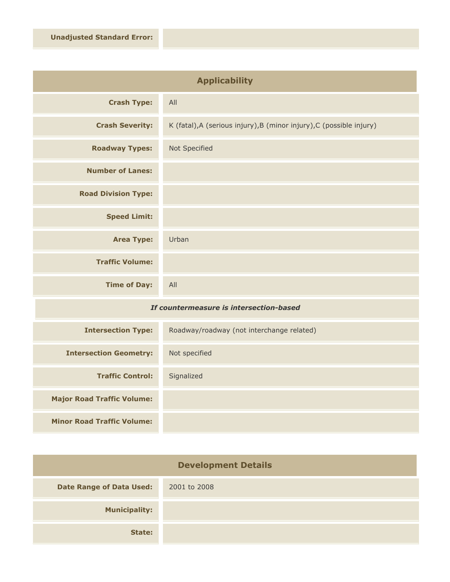| <b>Applicability</b>       |                                                                      |
|----------------------------|----------------------------------------------------------------------|
| <b>Crash Type:</b>         | All                                                                  |
| <b>Crash Severity:</b>     | K (fatal), A (serious injury), B (minor injury), C (possible injury) |
| <b>Roadway Types:</b>      | Not Specified                                                        |
| <b>Number of Lanes:</b>    |                                                                      |
| <b>Road Division Type:</b> |                                                                      |
| <b>Speed Limit:</b>        |                                                                      |
| <b>Area Type:</b>          | Urban                                                                |
| <b>Traffic Volume:</b>     |                                                                      |
| <b>Time of Day:</b>        | All                                                                  |

## *If countermeasure is intersection-based*

| <b>Intersection Type:</b>         | Roadway/roadway (not interchange related) |
|-----------------------------------|-------------------------------------------|
| <b>Intersection Geometry:</b>     | Not specified                             |
| <b>Traffic Control:</b>           | Signalized                                |
| <b>Major Road Traffic Volume:</b> |                                           |
| <b>Minor Road Traffic Volume:</b> |                                           |

| <b>Development Details</b>      |              |
|---------------------------------|--------------|
| <b>Date Range of Data Used:</b> | 2001 to 2008 |
| <b>Municipality:</b>            |              |
| State:                          |              |